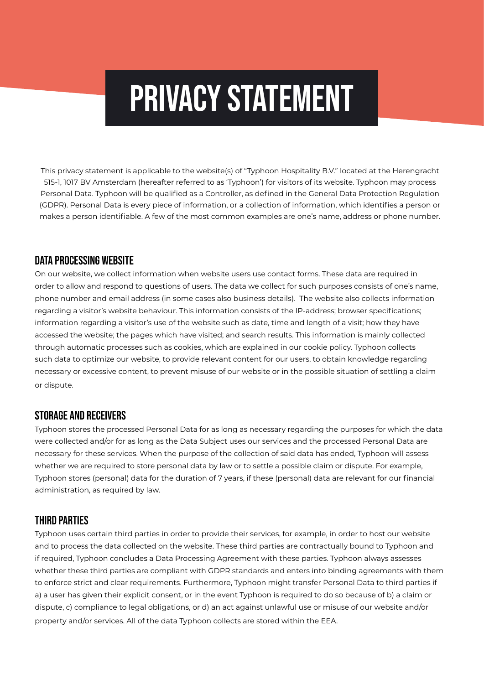# PRIVACY STATEMENT

This privacy statement is applicable to the website(s) of "Typhoon Hospitality B.V." located at the Herengracht 515-1, 1017 BV Amsterdam (hereafter referred to as 'Typhoon') for visitors of its website. Typhoon may process Personal Data. Typhoon will be qualified as a Controller, as defined in the General Data Protection Regulation (GDPR). Personal Data is every piece of information, or a collection of information, which identifies a person or makes a person identifiable. A few of the most common examples are one's name, address or phone number.

# Data Processing Website

On our website, we collect information when website users use contact forms. These data are required in order to allow and respond to questions of users. The data we collect for such purposes consists of one's name, phone number and email address (in some cases also business details). The website also collects information regarding a visitor's website behaviour. This information consists of the IP-address; browser specifications; information regarding a visitor's use of the website such as date, time and length of a visit; how they have accessed the website; the pages which have visited; and search results. This information is mainly collected through automatic processes such as cookies, which are explained in our cookie policy. Typhoon collects such data to optimize our website, to provide relevant content for our users, to obtain knowledge regarding necessary or excessive content, to prevent misuse of our website or in the possible situation of settling a claim or dispute.

# Storage and Receivers

Typhoon stores the processed Personal Data for as long as necessary regarding the purposes for which the data were collected and/or for as long as the Data Subject uses our services and the processed Personal Data are necessary for these services. When the purpose of the collection of said data has ended, Typhoon will assess whether we are required to store personal data by law or to settle a possible claim or dispute. For example, Typhoon stores (personal) data for the duration of 7 years, if these (personal) data are relevant for our financial administration, as required by law.

# Third Parties

Typhoon uses certain third parties in order to provide their services, for example, in order to host our website and to process the data collected on the website. These third parties are contractually bound to Typhoon and if required, Typhoon concludes a Data Processing Agreement with these parties. Typhoon always assesses whether these third parties are compliant with GDPR standards and enters into binding agreements with them to enforce strict and clear requirements. Furthermore, Typhoon might transfer Personal Data to third parties if a) a user has given their explicit consent, or in the event Typhoon is required to do so because of b) a claim or dispute, c) compliance to legal obligations, or d) an act against unlawful use or misuse of our website and/or property and/or services. All of the data Typhoon collects are stored within the EEA.